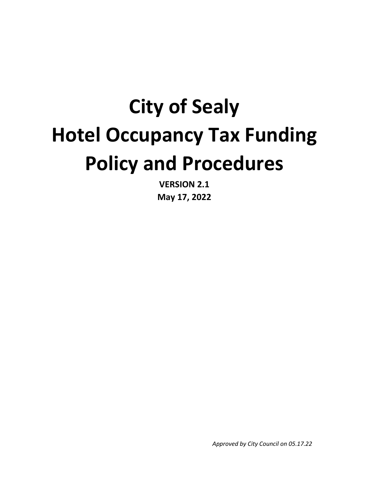# **City of Sealy Hotel Occupancy Tax Funding Policy and Procedures**

**VERSION 2.1 May 17, 2022**

*Approved by City Council on 05.17.22*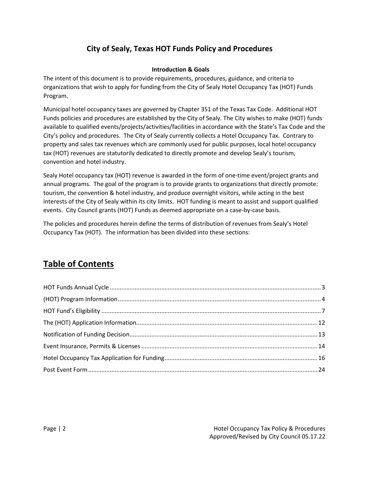## **City of Sealy, Texas HOT Funds Policy and Procedures**

#### **Introduction & Goals**

The intent of this document is to provide requirements, procedures, guidance, and criteria to organizations that wish to apply for funding from the City of Sealy Hotel Occupancy Tax (HOT) Funds Program.

Municipal hotel occupancy taxes are governed by Chapter 351 of the Texas Tax Code. Additional HOT Funds policies and procedures are established by the City of Sealy. The City wishes to make (HOT) funds available to qualified events/projects/activities/facilities in accordance with the State's Tax Code and the City's policy and procedures. The City of Sealy currently collects a Hotel Occupancy Tax. Contrary to property and sales tax revenues which are commonly used for public purposes, local hotel occupancy tax (HOT) revenues are statutorily dedicated to directly promote and develop Sealy's tourism, convention and hotel industry.

Sealy Hotel occupancy tax (HOT) revenue is awarded in the form of one-time event/project grants and annual programs. The goal of the program is to provide grants to organizations that directly promote: tourism, the convention & hotel industry, and produce overnight visitors, while acting in the best interests of the City of Sealy within its city limits. HOT funding is meant to assist and support qualified events. City Council grants (HOT) Funds as deemed appropriate on a case-by-case basis.

The policies and procedures herein define the terms of distribution of revenues from Sealy's Hotel Occupancy Tax (HOT). The information has been divided into these sections:

# **Table of Contents**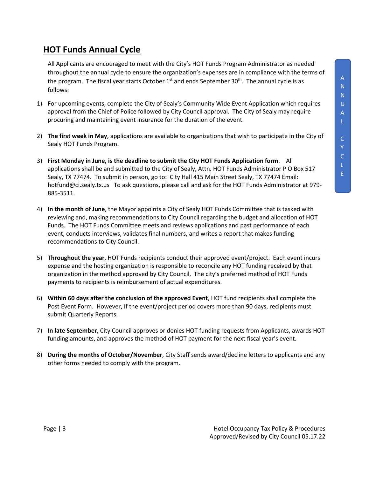## <span id="page-2-0"></span>**HOT Funds Annual Cycle**

All Applicants are encouraged to meet with the City's HOT Funds Program Administrator as needed throughout the annual cycle to ensure the organization's expenses are in compliance with the terms of the program. The fiscal year starts October  $1<sup>st</sup>$  and ends September 30<sup>th</sup>. The annual cycle is as follows:

- 1) For upcoming events, complete the City of Sealy's Community Wide Event Application which requires approval from the Chief of Police followed by City Council approval. The City of Sealy may require procuring and maintaining event insurance for the duration of the event.
- 2) **The first week in May**, applications are available to organizations that wish to participate in the City of Sealy HOT Funds Program.
- 3) **First Monday in June, is the deadline to submit the City HOT Funds Application form**. All applications shall be and submitted to the City of Sealy, Attn. HOT Funds Administrator P O Box 517 Sealy, TX 77474. To submit in person, go to: City Hall 415 Main Street Sealy, TX 77474 Email: [hotfund@ci.sealy.tx.us](mailto:hotfund@ci.sealy.tx.us) To ask questions, please call and ask for the HOT Funds Administrator at 979- 885-3511.
- 4) **In the month of June**, the Mayor appoints a City of Sealy HOT Funds Committee that is tasked with reviewing and, making recommendations to City Council regarding the budget and allocation of HOT Funds. The HOT Funds Committee meets and reviews applications and past performance of each event, conducts interviews, validates final numbers, and writes a report that makes funding recommendations to City Council.
- 5) **Throughout the year**, HOT Funds recipients conduct their approved event/project. Each event incurs expense and the hosting organization is responsible to reconcile any HOT funding received by that organization in the method approved by City Council. The city's preferred method of HOT Funds payments to recipients is reimbursement of actual expenditures.
- 6) **Within 60 days after the conclusion of the approved Event**, HOT fund recipients shall complete the Post Event Form. However, If the event/project period covers more than 90 days, recipients must submit Quarterly Reports.
- 7) **In late September**, City Council approves or denies HOT funding requests from Applicants, awards HOT funding amounts, and approves the method of HOT payment for the next fiscal year's event.
- 8) **During the months of October/November**, City Staff sends award/decline letters to applicants and any other forms needed to comply with the program.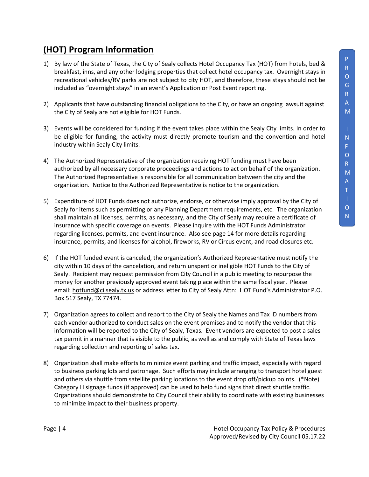# <span id="page-3-0"></span>**(HOT) Program Information**

- 1) By law of the State of Texas, the City of Sealy collects Hotel Occupancy Tax (HOT) from hotels, bed & breakfast, inns, and any other lodging properties that collect hotel occupancy tax. Overnight stays in recreational vehicles/RV parks are not subject to city HOT, and therefore, these stays should not be included as "overnight stays" in an event's Application or Post Event reporting.
- 2) Applicants that have outstanding financial obligations to the City, or have an ongoing lawsuit against the City of Sealy are not eligible for HOT Funds.
- 3) Events will be considered for funding if the event takes place within the Sealy City limits. In order to be eligible for funding, the activity must directly promote tourism and the convention and hotel industry within Sealy City limits.
- 4) The Authorized Representative of the organization receiving HOT funding must have been authorized by all necessary corporate proceedings and actions to act on behalf of the organization. The Authorized Representative is responsible for all communication between the city and the organization. Notice to the Authorized Representative is notice to the organization.
- 5) Expenditure of HOT Funds does not authorize, endorse, or otherwise imply approval by the City of Sealy for items such as permitting or any Planning Department requirements, etc. The organization shall maintain all licenses, permits, as necessary, and the City of Sealy may require a certificate of insurance with specific coverage on events. Please inquire with the HOT Funds Administrator regarding licenses, permits, and event insurance. Also see page 14 for more details regarding insurance, permits, and licenses for alcohol, fireworks, RV or Circus event, and road closures etc.
- 6) If the HOT funded event is canceled, the organization's Authorized Representative must notify the city within 10 days of the cancelation, and return unspent or ineligible HOT Funds to the City of Sealy. Recipient may request permission from City Council in a public meeting to repurpose the money for another previously approved event taking place within the same fiscal year. Please email: [hotfund@ci.sealy.tx.us](mailto:hotfund@ci.sealy.tx.us) or address letter to City of Sealy Attn: HOT Fund's Administrator P.O. Box 517 Sealy, TX 77474.
- 7) Organization agrees to collect and report to the City of Sealy the Names and Tax ID numbers from each vendor authorized to conduct sales on the event premises and to notify the vendor that this information will be reported to the City of Sealy, Texas. Event vendors are expected to post a sales tax permit in a manner that is visible to the public, as well as and comply with State of Texas laws regarding collection and reporting of sales tax.
- 8) Organization shall make efforts to minimize event parking and traffic impact, especially with regard to business parking lots and patronage. Such efforts may include arranging to transport hotel guest and others via shuttle from satellite parking locations to the event drop off/pickup points. (\*Note) Category H signage funds (if approved) can be used to help fund signs that direct shuttle traffic. Organizations should demonstrate to City Council their ability to coordinate with existing businesses to minimize impact to their business property.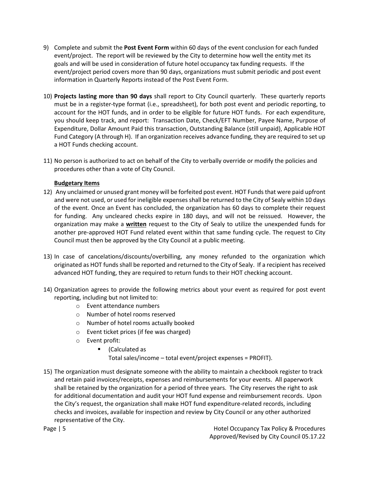- 9) Complete and submit the **Post Event Form** within 60 days of the event conclusion for each funded event/project. The report will be reviewed by the City to determine how well the entity met its goals and will be used in consideration of future hotel occupancy tax funding requests. If the event/project period covers more than 90 days, organizations must submit periodic and post event information in Quarterly Reports instead of the Post Event Form.
- 10) **Projects lasting more than 90 days** shall report to City Council quarterly. These quarterly reports must be in a register-type format (i.e., spreadsheet), for both post event and periodic reporting, to account for the HOT funds, and in order to be eligible for future HOT funds. For each expenditure, you should keep track, and report: Transaction Date, Check/EFT Number, Payee Name, Purpose of Expenditure, Dollar Amount Paid this transaction, Outstanding Balance (still unpaid), Applicable HOT Fund Category (A through H). If an organization receives advance funding, they are required to set up a HOT Funds checking account.
- 11) No person is authorized to act on behalf of the City to verbally override or modify the policies and procedures other than a vote of City Council.

#### **Budgetary Items**

- 12) Any unclaimed or unused grant money will be forfeited post event. HOT Funds that were paid upfront and were not used, or used for ineligible expenses shall be returned to the City of Sealy within 10 days of the event. Once an Event has concluded, the organization has 60 days to complete their request for funding. Any uncleared checks expire in 180 days, and will not be reissued. However, the organization may make a **written** request to the City of Sealy to utilize the unexpended funds for another pre-approved HOT Fund related event within that same funding cycle. The request to City Council must then be approved by the City Council at a public meeting.
- 13) In case of cancelations/discounts/overbilling, any money refunded to the organization which originated as HOT funds shall be reported and returned to the City of Sealy. If a recipient has received advanced HOT funding, they are required to return funds to their HOT checking account.
- 14) Organization agrees to provide the following metrics about your event as required for post event reporting, including but not limited to:
	- o Event attendance numbers
	- o Number of hotel rooms reserved
	- o Number of hotel rooms actually booked
	- o Event ticket prices (if fee was charged)
	- o Event profit:
		- (Calculated as

Total sales/income – total event/project expenses = PROFIT).

15) The organization must designate someone with the ability to maintain a checkbook register to track and retain paid invoices/receipts, expenses and reimbursements for your events. All paperwork shall be retained by the organization for a period of three years. The City reserves the right to ask for additional documentation and audit your HOT fund expense and reimbursement records. Upon the City's request, the organization shall make HOT fund expenditure-related records, including checks and invoices, available for inspection and review by City Council or any other authorized representative of the City.

Page | 5 Hotel Occupancy Tax Policy & Procedures Approved/Revised by City Council 05.17.22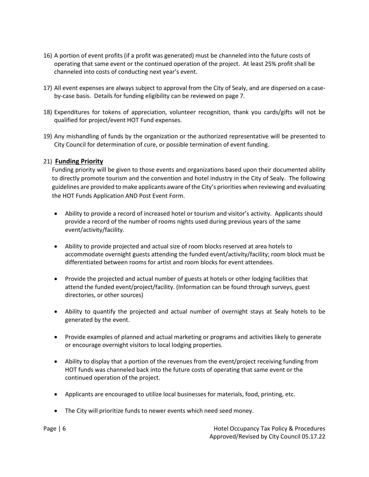- 16) A portion of event profits (if a profit was generated) must be channeled into the future costs of operating that same event or the continued operation of the project. At least 25% profit shall be channeled into costs of conducting next year's event.
- 17) All event expenses are always subject to approval from the City of Sealy, and are dispersed on a caseby-case basis. Details for funding eligibility can be reviewed on page 7.
- 18) Expenditures for tokens of appreciation, volunteer recognition, thank you cards/gifts will not be qualified for project/event HOT Fund expenses.
- 19) Any mishandling of funds by the organization or the authorized representative will be presented to City Council for determination of cure, or possible termination of event funding.

#### 21) **Funding Priority**

Funding priority will be given to those events and organizations based upon their documented ability to directly promote tourism and the convention and hotel industry in the City of Sealy. The following guidelines are provided to make applicants aware of the City's priorities when reviewing and evaluating the HOT Funds Application AND Post Event Form.

- Ability to provide a record of increased hotel or tourism and visitor's activity. Applicants should provide a record of the number of rooms nights used during previous years of the same event/activity/facility.
- Ability to provide projected and actual size of room blocks reserved at area hotels to accommodate overnight guests attending the funded event/activity/facility; room block must be differentiated between rooms for artist and room blocks for event attendees.
- Provide the projected and actual number of guests at hotels or other lodging facilities that attend the funded event/project/facility. (Information can be found through surveys, guest directories, or other sources)
- Ability to quantify the projected and actual number of overnight stays at Sealy hotels to be generated by the event.
- Provide examples of planned and actual marketing or programs and activities likely to generate or encourage overnight visitors to local lodging properties.
- Ability to display that a portion of the revenues from the event/project receiving funding from HOT funds was channeled back into the future costs of operating that same event or the continued operation of the project.
- Applicants are encouraged to utilize local businesses for materials, food, printing, etc.
- The City will prioritize funds to newer events which need seed money.

Page | 6 Hotel Occupancy Tax Policy & Procedures Approved/Revised by City Council 05.17.22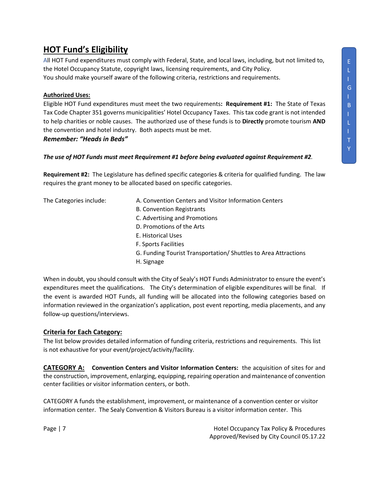## <span id="page-6-0"></span>**HOT Fund's Eligibility**

All HOT Fund expenditures must comply with Federal, State, and local laws, including, but not limited to, the Hotel Occupancy Statute, copyright laws, licensing requirements, and City Policy. You should make yourself aware of the following criteria, restrictions and requirements.

#### **Authorized Uses:**

Eligible HOT Fund expenditures must meet the two requirements**: Requirement #1:** The State of Texas Tax Code Chapter 351 governs municipalities' Hotel Occupancy Taxes. This tax code grant is not intended to help charities or noble causes. The authorized use of these funds is to **Directly** promote tourism **AND** the convention and hotel industry. Both aspects must be met.

*Remember: "Heads in Beds"*

#### *The use of HOT Funds must meet Requirement #1 before being evaluated against Requirement #2.*

**Requirement #2:** The Legislature has defined specific categories & criteria for qualified funding. The law requires the grant money to be allocated based on specific categories.

The Categories include: A. Convention Centers and Visitor Information Centers

- B. Convention Registrants
- C. Advertising and Promotions
- D. Promotions of the Arts
- E. Historical Uses
- F. Sports Facilities
- G. Funding Tourist Transportation/ Shuttles to Area Attractions
- H. Signage

When in doubt, you should consult with the City of Sealy's HOT Funds Administrator to ensure the event's expenditures meet the qualifications. The City's determination of eligible expenditures will be final. If the event is awarded HOT Funds, all funding will be allocated into the following categories based on information reviewed in the organization's application, post event reporting, media placements, and any follow-up questions/interviews.

#### **Criteria for Each Category:**

The list below provides detailed information of funding criteria, restrictions and requirements. This list is not exhaustive for your event/project/activity/facility.

**CATEGORY A: Convention Centers and Visitor Information Centers:** the acquisition of sites for and the construction, improvement, enlarging, equipping, repairing operation and maintenance of convention center facilities or visitor information centers, or both.

CATEGORY A funds the establishment, improvement, or maintenance of a convention center or visitor information center. The Sealy Convention & Visitors Bureau is a visitor information center. This

Page | 7 Hotel Occupancy Tax Policy & Procedures Approved/Revised by City Council 05.17.22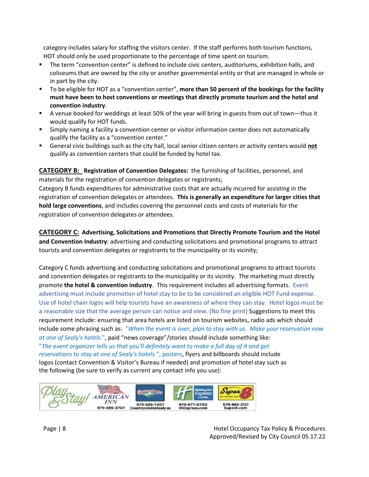category includes salary for staffing the visitors center. If the staff performs both tourism functions, HOT should only be used proportionate to the percentage of time spent on tourism.

- The term "convention center" is defined to include civic centers, auditoriums, exhibition halls, and coliseums that are owned by the city or another governmental entity or that are managed in whole or in part by the city.
- To be eligible for HOT as a "convention center", **more than 50 percent of the bookings for the facility must have been to host conventions or meetings that directly promote tourism and the hotel and convention industry**.
- A venue booked for weddings at least 50% of the year will bring in guests from out of town—thus it would qualify for HOT funds.
- Simply naming a facility a convention center or visitor information center does not automatically qualify the facility as a "convention center."
- General civic buildings such as the city hall, local senior citizen centers or activity centers would **not** qualify as convention centers that could be funded by hotel tax.

**CATEGORY B: Registration of Convention Delegates:** the furnishing of facilities, personnel, and materials for the registration of convention delegates or registrants;

Category B funds expenditures for administrative costs that are actually incurred for assisting in the registration of convention delegates or attendees. **This is generally an expenditure for larger cities that hold large conventions**, and includes covering the personnel costs and costs of materials for the registration of convention delegates or attendees.

**CATEGORY C: Advertising, Solicitations and Promotions that Directly Promote Tourism and the Hotel and Convention Industry**: advertising and conducting solicitations and promotional programs to attract tourists and convention delegates or registrants to the municipality or its vicinity;

Category C funds advertising and conducting solicitations and promotional programs to attract tourists and convention delegates or registrants to the municipality or its vicinity. The marketing must directly promote **the hotel & convention industry**. This requirement includes all advertising formats. Event advertising must include promotion of hotel stay to be to be considered an eligible HOT Fund expense. Use of hotel chain logos will help tourists have an awareness of where they can stay. Hotel logos must be a reasonable size that the average person can notice and view. (No fine print) Suggestions to meet this requirement include: ensuring that area hotels are listed on tourism websites, radio ads which should include some phrasing such as: "*When the event is over, plan to stay with us. Make your reservation now at one of Sealy's hotels*.", paid "news coverage"/stories should include something like: "*The* e*vent organizer tells us that you'll definitely want to make a full day of it and get reservations to stay at one of Sealy's hotels*.", posters, flyers and billboards should include logos (contact Convention & Visitor's Bureau if needed) and promotion of hotel stay such as the following (be sure to verify as current any contact info you use):

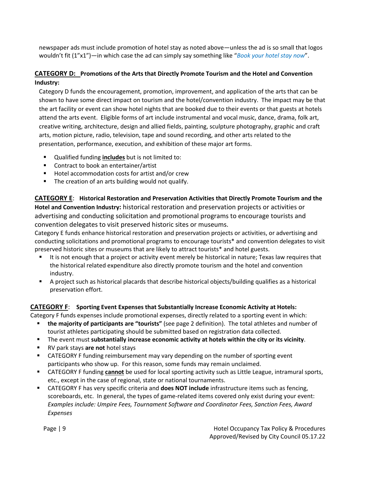newspaper ads must include promotion of hotel stay as noted above—unless the ad is so small that logos wouldn't fit (1"x1")—in which case the ad can simply say something like "*Book your hotel stay now*".

#### **CATEGORY D: Promotions of the Arts that Directly Promote Tourism and the Hotel and Convention Industry:**

Category D funds the encouragement, promotion, improvement, and application of the arts that can be shown to have some direct impact on tourism and the hotel/convention industry. The impact may be that the art facility or event can show hotel nights that are booked due to their events or that guests at hotels attend the arts event. Eligible forms of art include instrumental and vocal music, dance, drama, folk art, creative writing, architecture, design and allied fields, painting, sculpture photography, graphic and craft arts, motion picture, radio, television, tape and sound recording, and other arts related to the presentation, performance, execution, and exhibition of these major art forms.

- Qualified funding **includes** but is not limited to:
- **Contract to book an entertainer/artist**
- Hotel accommodation costs for artist and/or crew
- **The creation of an arts building would not qualify.**

**CATEGORY E**: **Historical Restoration and Preservation Activities that Directly Promote Tourism and the Hotel and Convention Industry:** historical restoration and preservation projects or activities or advertising and conducting solicitation and promotional programs to encourage tourists and convention delegates to visit preserved historic sites or museums.

Category E funds enhance historical restoration and preservation projects or activities, or advertising and conducting solicitations and promotional programs to encourage tourists\* and convention delegates to visit preserved historic sites or museums that are likely to attract tourists\* and hotel guests.

- It is not enough that a project or activity event merely be historical in nature; Texas law requires that the historical related expenditure also directly promote tourism and the hotel and convention industry.
- A project such as historical placards that describe historical objects/building qualifies as a historical preservation effort.

#### **CATEGORY F**: **Sporting Event Expenses that Substantially Increase Economic Activity at Hotels:**

Category F funds expenses include promotional expenses, directly related to a sporting event in which:

- **the majority of participants are "tourists"** (see page 2 definition). The total athletes and number of tourist athletes participating should be submitted based on registration data collected.
- The event must **substantially increase economic activity at hotels within the city or its vicinity**.
- RV park stays **are not** hotel stays
- CATEGORY F funding reimbursement may vary depending on the number of sporting event participants who show up. For this reason, some funds may remain unclaimed.
- CATEGORY F funding **cannot** be used for local sporting activity such as Little League, intramural sports, etc., except in the case of regional, state or national tournaments.
- CATEGORY F has very specific criteria and **does NOT include** infrastructure items such as fencing, scoreboards, etc. In general, the types of game-related items covered only exist during your event: *Examples include: Umpire Fees, Tournament Software and Coordinator Fees, Sanction Fees, Award Expenses*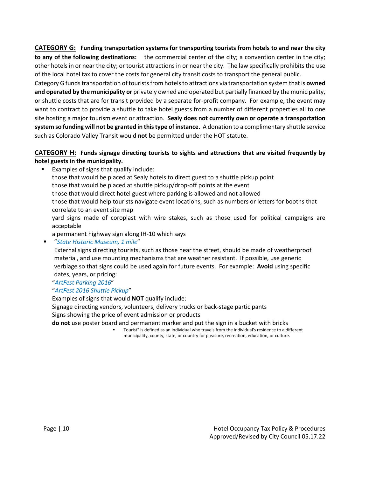**CATEGORY G: Funding transportation systems for transporting tourists from hotels to and near the city to any of the following destinations:** the commercial center of the city; a convention center in the city; other hotels in or near the city; or tourist attractions in or near the city. The law specifically prohibits the use of the local hotel tax to cover the costs for general city transit costs to transport the general public.

Category G funds transportation of tourists from hotels to attractions via transportation system that is **owned and operated by the municipality or** privately owned and operated but partially financed by the municipality, or shuttle costs that are for transit provided by a separate for-profit company. For example, the event may want to contract to provide a shuttle to take hotel guests from a number of different properties all to one site hosting a major tourism event or attraction. **Sealy does not currently own or operate a transportation system so funding will not be granted in thistype of instance.** A donation to a complimentary shuttle service such as Colorado Valley Transit would **not** be permitted under the HOT statute.

#### **CATEGORY H: Funds signage directing tourists to sights and attractions that are visited frequently by hotel guests in the municipality.**

■ Examples of signs that qualify include: those that would be placed at Sealy hotels to direct guest to a shuttle pickup point those that would be placed at shuttle pickup/drop-off points at the event those that would direct hotel guest where parking is allowed and not allowed those that would help tourists navigate event locations, such as numbers or letters for booths that correlate to an event site map yard signs made of coroplast with wire stakes, such as those used for political campaigns are acceptable a permanent highway sign along IH-10 which says

"*State Historic Museum, 1 mile*"

External signs directing tourists, such as those near the street, should be made of weatherproof material, and use mounting mechanisms that are weather resistant. If possible, use generic verbiage so that signs could be used again for future events. For example: **Avoid** using specific dates, years, or pricing:

"*ArtFest Parking 2016*"

#### "*ArtFest 2016 Shuttle Pickup*"

Examples of signs that would **NOT** qualify include:

Signage directing vendors, volunteers, delivery trucks or back-stage participants

Signs showing the price of event admission or products

**do not** use poster board and permanent marker and put the sign in a bucket with bricks

 Tourist" is defined as an individual who travels from the individual's residence to a different municipality, county, state, or country for pleasure, recreation, education, or culture.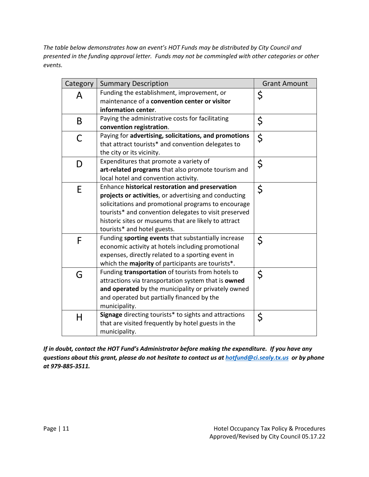*The table below demonstrates how an event's HOT Funds may be distributed by City Council and presented in the funding approval letter. Funds may not be commingled with other categories or other events.* 

| Category | <b>Summary Description</b>                                                                                                                                                                                                                                                                                      | <b>Grant Amount</b> |
|----------|-----------------------------------------------------------------------------------------------------------------------------------------------------------------------------------------------------------------------------------------------------------------------------------------------------------------|---------------------|
| A        | Funding the establishment, improvement, or<br>maintenance of a convention center or visitor<br>information center.                                                                                                                                                                                              | \$                  |
| B        | Paying the administrative costs for facilitating<br>convention registration.                                                                                                                                                                                                                                    | \$                  |
| C        | Paying for advertising, solicitations, and promotions<br>that attract tourists* and convention delegates to<br>the city or its vicinity.                                                                                                                                                                        | \$                  |
| D        | Expenditures that promote a variety of<br>art-related programs that also promote tourism and<br>local hotel and convention activity.                                                                                                                                                                            | \$                  |
| E        | Enhance historical restoration and preservation<br>projects or activities, or advertising and conducting<br>solicitations and promotional programs to encourage<br>tourists* and convention delegates to visit preserved<br>historic sites or museums that are likely to attract<br>tourists* and hotel guests. | $\zeta$             |
| F        | Funding sporting events that substantially increase<br>economic activity at hotels including promotional<br>expenses, directly related to a sporting event in<br>which the majority of participants are tourists*.                                                                                              | \$                  |
| G        | Funding transportation of tourists from hotels to<br>attractions via transportation system that is owned<br>and operated by the municipality or privately owned<br>and operated but partially financed by the<br>municipality.                                                                                  | \$                  |
| H        | Signage directing tourists* to sights and attractions<br>that are visited frequently by hotel guests in the<br>municipality.                                                                                                                                                                                    | \$                  |

*If in doubt, contact the HOT Fund's Administrator before making the expenditure. If you have any questions about this grant, please do not hesitate to contact us at [hotfund@ci.sealy.tx.us](mailto:hotfund@ci.sealy.tx.us) or by phone at 979-885-3511.*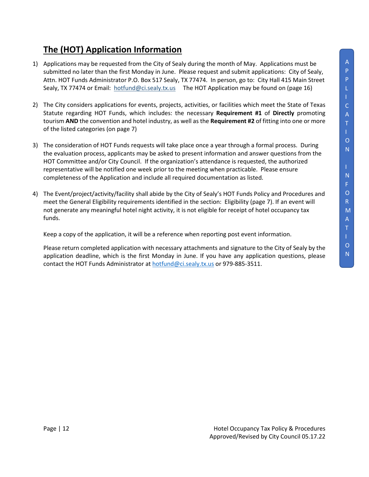# <span id="page-11-0"></span>**The (HOT) Application Information**

- 1) Applications may be requested from the City of Sealy during the month of May. Applications must be submitted no later than the first Monday in June. Please request and submit applications: City of Sealy, Attn. HOT Funds Administrator P.O. Box 517 Sealy, TX 77474. In person, go to: City Hall 415 Main Street Sealy, TX 77474 or Email: [hotfund@ci.sealy.tx.us](mailto:hotfund@ci.sealy.tx.us) The HOT Application may be found on (page 16)
- 2) The City considers applications for events, projects, activities, or facilities which meet the State of Texas Statute regarding HOT Funds, which includes: the necessary **Requirement #1** of **Directly** promoting tourism **AND** the convention and hotel industry, as well as the **Requirement #2** of fitting into one or more of the listed categories (on page 7)
- 3) The consideration of HOT Funds requests will take place once a year through a formal process. During the evaluation process, applicants may be asked to present information and answer questions from the HOT Committee and/or City Council. If the organization's attendance is requested, the authorized representative will be notified one week prior to the meeting when practicable. Please ensure completeness of the Application and include all required documentation as listed.
- 4) The Event/project/activity/facility shall abide by the City of Sealy's HOT Funds Policy and Procedures and meet the General Eligibility requirements identified in the section: Eligibility (page 7). If an event will not generate any meaningful hotel night activity, it is not eligible for receipt of hotel occupancy tax funds.

Keep a copy of the application, it will be a reference when reporting post event information.

Please return completed application with necessary attachments and signature to the City of Sealy by the application deadline, which is the first Monday in June. If you have any application questions, please contact the HOT Funds Administrator a[t hotfund@ci.sealy.tx.us](mailto:hotfund@ci.sealy.tx.us) or 979-885-3511.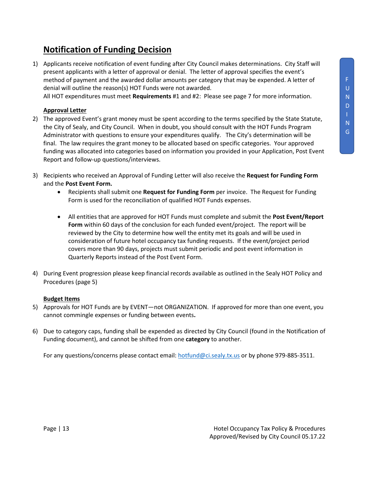## <span id="page-12-0"></span>**Notification of Funding Decision**

1) Applicants receive notification of event funding after City Council makes determinations. City Staff will present applicants with a letter of approval or denial. The letter of approval specifies the event's method of payment and the awarded dollar amounts per category that may be expended. A letter of denial will outline the reason(s) HOT Funds were not awarded.

All HOT expenditures must meet **Requirements** #1 and #2: Please see page 7 for more information.

#### **Approval Letter**

- 2) The approved Event's grant money must be spent according to the terms specified by the State Statute, the City of Sealy, and City Council. When in doubt, you should consult with the HOT Funds Program Administrator with questions to ensure your expenditures qualify. The City's determination will be final. The law requires the grant money to be allocated based on specific categories. Your approved funding was allocated into categories based on information you provided in your Application, Post Event Report and follow-up questions/interviews.
- 3) Recipients who received an Approval of Funding Letter will also receive the **Request for Funding Form** and the **Post Event Form.**
	- Recipients shall submit one **Request for Funding Form** per invoice. The Request for Funding Form is used for the reconciliation of qualified HOT Funds expenses.
	- All entities that are approved for HOT Funds must complete and submit the **Post Event/Report Form** within 60 days of the conclusion for each funded event/project. The report will be reviewed by the City to determine how well the entity met its goals and will be used in consideration of future hotel occupancy tax funding requests. If the event/project period covers more than 90 days, projects must submit periodic and post event information in Quarterly Reports instead of the Post Event Form.
- 4) During Event progression please keep financial records available as outlined in the Sealy HOT Policy and Procedures (page 5)

#### **Budget Items**

- 5) Approvals for HOT Funds are by EVENT—not ORGANIZATION. If approved for more than one event, you cannot commingle expenses or funding between events**.**
- 6) Due to category caps, funding shall be expended as directed by City Council (found in the Notification of Funding document), and cannot be shifted from one **category** to another.

For any questions/concerns please contact email[: hotfund@ci.sealy.tx.us](mailto:hotfund@ci.sealy.tx.us) or by phone 979-885-3511.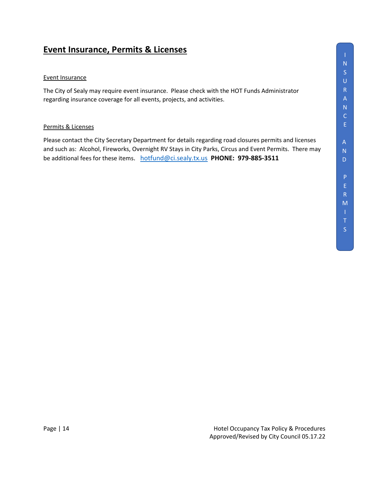## <span id="page-13-0"></span>**Event Insurance, Permits & Licenses**

#### Event Insurance

The City of Sealy may require event insurance. Please check with the HOT Funds Administrator regarding insurance coverage for all events, projects, and activities.

#### Permits & Licenses

Please contact the City Secretary Department for details regarding road closures permits and licenses and such as: Alcohol, Fireworks, Overnight RV Stays in City Parks, Circus and Event Permits. There may be additional fees for these items. [hotfund@ci.sealy.tx.us](mailto:hotfund@ci.sealy.tx.us) **PHONE: 979-885-3511**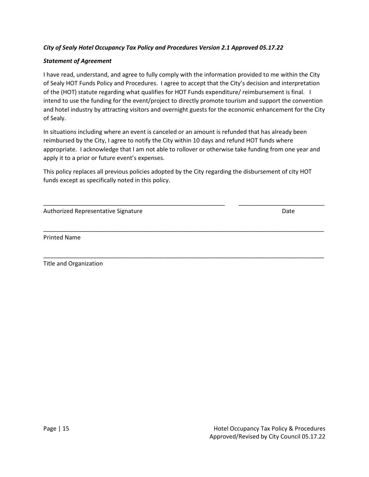#### *City of Sealy Hotel Occupancy Tax Policy and Procedures Version 2.1 Approved 05.17.22*

#### *Statement of Agreement*

I have read, understand, and agree to fully comply with the information provided to me within the City of Sealy HOT Funds Policy and Procedures. I agree to accept that the City's decision and interpretation of the (HOT) statute regarding what qualifies for HOT Funds expenditure/ reimbursement is final. I intend to use the funding for the event/project to directly promote tourism and support the convention and hotel industry by attracting visitors and overnight guests for the economic enhancement for the City of Sealy.

In situations including where an event is canceled or an amount is refunded that has already been reimbursed by the City, I agree to notify the City within 10 days and refund HOT funds where appropriate. I acknowledge that I am not able to rollover or otherwise take funding from one year and apply it to a prior or future event's expenses.

This policy replaces all previous policies adopted by the City regarding the disbursement of city HOT funds except as specifically noted in this policy.

\_\_\_\_\_\_\_\_\_\_\_\_\_\_\_\_\_\_\_\_\_\_\_\_\_\_\_\_\_\_\_\_\_\_\_\_\_\_\_\_\_\_\_\_\_\_\_\_\_\_\_\_\_\_\_ \_\_\_\_\_\_\_\_\_\_\_\_\_\_\_\_\_\_\_\_\_\_\_\_\_\_

\_\_\_\_\_\_\_\_\_\_\_\_\_\_\_\_\_\_\_\_\_\_\_\_\_\_\_\_\_\_\_\_\_\_\_\_\_\_\_\_\_\_\_\_\_\_\_\_\_\_\_\_\_\_\_\_\_\_\_\_\_\_\_\_\_\_\_\_\_\_\_\_\_\_\_\_\_\_\_\_\_\_\_\_\_

\_\_\_\_\_\_\_\_\_\_\_\_\_\_\_\_\_\_\_\_\_\_\_\_\_\_\_\_\_\_\_\_\_\_\_\_\_\_\_\_\_\_\_\_\_\_\_\_\_\_\_\_\_\_\_\_\_\_\_\_\_\_\_\_\_\_\_\_\_\_\_\_\_\_\_\_\_\_\_\_\_\_\_\_\_

| Authorized Representative Signature | Date |
|-------------------------------------|------|

Printed Name

Title and Organization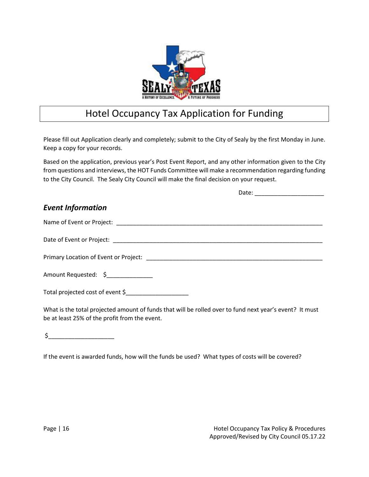

# Hotel Occupancy Tax Application for Funding

<span id="page-15-0"></span>Please fill out Application clearly and completely; submit to the City of Sealy by the first Monday in June. Keep a copy for your records.

Based on the application, previous year's Post Event Report, and any other information given to the City from questions and interviews, the HOT Funds Committee will make a recommendation regarding funding to the City Council. The Sealy City Council will make the final decision on your request.

| <b>Event Information</b>          |  |
|-----------------------------------|--|
|                                   |  |
|                                   |  |
|                                   |  |
| Amount Requested: \$_____________ |  |
| Total projected cost of event \$  |  |

What is the total projected amount of funds that will be rolled over to fund next year's event? It must be at least 25% of the profit from the event.

\$\_\_\_\_\_\_\_\_\_\_\_\_\_\_\_\_\_\_\_\_

If the event is awarded funds, how will the funds be used? What types of costs will be covered?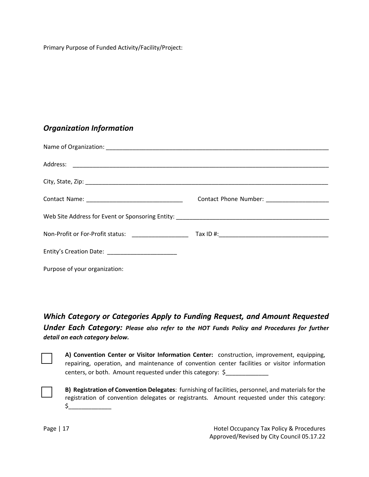Primary Purpose of Funded Activity/Facility/Project:

## *Organization Information*

| Purpose of your organization: |  |
|-------------------------------|--|

*Which Category or Categories Apply to Funding Request, and Amount Requested Under Each Category: Please also refer to the HOT Funds Policy and Procedures for further detail on each category below.* 



**A) Convention Center or Visitor Information Center:** construction, improvement, equipping, repairing, operation, and maintenance of convention center facilities or visitor information centers, or both. Amount requested under this category: \$

**B) Registration of Convention Delegates**: furnishing of facilities, personnel, and materials for the registration of convention delegates or registrants. Amount requested under this category:  $\circ$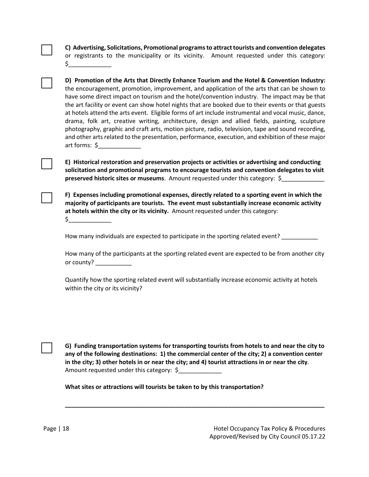|  |  | C) Advertising, Solicitations, Promotional programs to attract tourists and convention delegates |  |  |  |  |
|--|--|--------------------------------------------------------------------------------------------------|--|--|--|--|
|  |  | or registrants to the municipality or its vicinity. Amount requested under this category:        |  |  |  |  |
|  |  |                                                                                                  |  |  |  |  |

**D) Promotion of the Arts that Directly Enhance Tourism and the Hotel & Convention Industry:** the encouragement, promotion, improvement, and application of the arts that can be shown to have some direct impact on tourism and the hotel/convention industry. The impact may be that the art facility or event can show hotel nights that are booked due to their events or that guests at hotels attend the arts event. Eligible forms of art include instrumental and vocal music, dance, drama, folk art, creative writing, architecture, design and allied fields, painting, sculpture photography, graphic and craft arts, motion picture, radio, television, tape and sound recording, and other arts related to the presentation, performance, execution, and exhibition of these major art forms: \$\_\_\_\_\_\_\_\_\_\_\_\_\_

**E) Historical restoration and preservation projects or activities or advertising and conducting solicitation and promotional programs to encourage tourists and convention delegates to visit preserved historic sites or museums**. Amount requested under this category: \$\_\_\_\_\_\_\_\_\_\_\_\_\_

**F) Expenses including promotional expenses, directly related to a sporting event in which the majority of participants are tourists. The event must substantially increase economic activity at hotels within the city or its vicinity.** Amount requested under this category:

 $\zeta_-$ 

How many individuals are expected to participate in the sporting related event?

How many of the participants at the sporting related event are expected to be from another city or county?

Quantify how the sporting related event will substantially increase economic activity at hotels within the city or its vicinity?

**G) Funding transportation systems for transporting tourists from hotels to and near the city to any of the following destinations: 1) the commercial center of the city; 2) a convention center in the city; 3) other hotels in or near the city; and 4) tourist attractions in or near the city**. Amount requested under this category: \$

**\_\_\_\_\_\_\_\_\_\_\_\_\_\_\_\_\_\_\_\_\_\_\_\_\_\_\_\_\_\_\_\_\_\_\_\_\_\_\_\_\_\_\_\_\_\_\_\_\_\_\_\_\_\_\_\_\_\_\_\_\_\_\_\_\_\_\_\_\_\_\_\_\_\_\_\_\_\_** 

**What sites or attractions will tourists be taken to by this transportation?**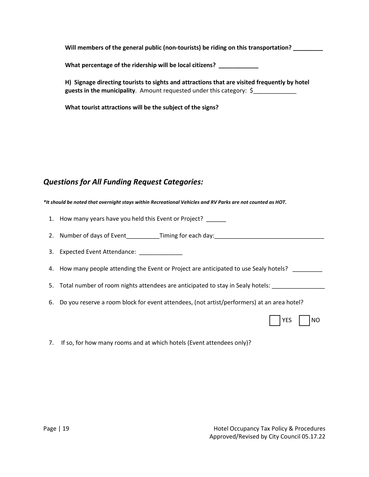**Will members of the general public (non-tourists) be riding on this transportation? \_\_\_\_\_\_\_\_\_**

**What percentage of the ridership will be local citizens? \_\_\_\_\_\_\_\_\_\_\_\_**

**H) Signage directing tourists to sights and attractions that are visited frequently by hotel guests in the municipality**. Amount requested under this category: \$\_\_\_\_\_\_\_\_\_\_\_\_\_

**What tourist attractions will be the subject of the signs?** 

## *Questions for All Funding Request Categories:*

*\*It should be noted that overnight stays within Recreational Vehicles and RV Parks are not counted as HOT.*

1. How many years have you held this Event or Project?

2. Number of days of Event Timing for each day:

- 3. Expected Event Attendance: \_\_\_\_\_\_\_\_\_\_\_\_\_
- 4. How many people attending the Event or Project are anticipated to use Sealy hotels? \_\_\_\_\_\_\_\_
- 5. Total number of room nights attendees are anticipated to stay in Sealy hotels: \_\_\_\_\_\_\_\_\_\_\_\_\_\_\_\_\_
- 6. Do you reserve a room block for event attendees, (not artist/performers) at an area hotel?

|  |  |  | NΩ |
|--|--|--|----|
|--|--|--|----|

7. If so, for how many rooms and at which hotels (Event attendees only)?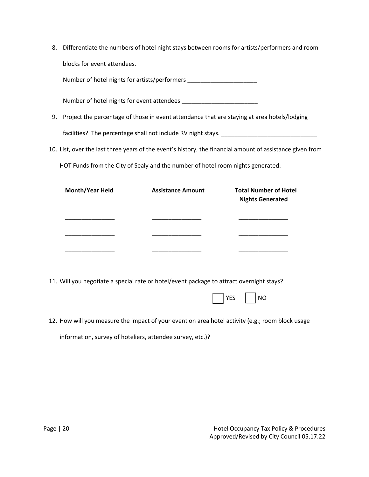8. Differentiate the numbers of hotel night stays between rooms for artists/performers and room blocks for event attendees.

Number of hotel nights for artists/performers \_\_\_\_\_\_\_\_\_\_\_\_\_\_\_\_\_\_\_\_\_\_\_\_\_\_\_\_\_\_\_\_\_\_

Number of hotel nights for event attendees \_\_\_\_\_\_\_\_\_\_\_\_\_\_\_\_\_\_\_\_\_\_\_

- 9. Project the percentage of those in event attendance that are staying at area hotels/lodging facilities? The percentage shall not include RV night stays. \_\_\_\_\_\_\_\_\_\_\_\_\_\_
- 10. List, over the last three years of the event's history, the financial amount of assistance given from

HOT Funds from the City of Sealy and the number of hotel room nights generated:

| <b>Month/Year Held</b> | <b>Assistance Amount</b> | <b>Total Number of Hotel</b><br><b>Nights Generated</b> |  |  |
|------------------------|--------------------------|---------------------------------------------------------|--|--|
|                        |                          |                                                         |  |  |
|                        |                          |                                                         |  |  |
|                        |                          |                                                         |  |  |

11. Will you negotiate a special rate or hotel/event package to attract overnight stays?

|  | VEC |  | NO. |
|--|-----|--|-----|
|--|-----|--|-----|

12. How will you measure the impact of your event on area hotel activity (e.g.; room block usage information, survey of hoteliers, attendee survey, etc.)?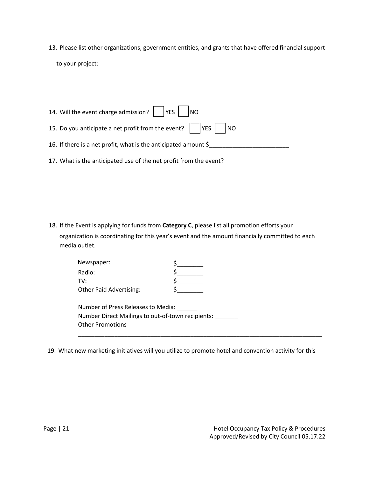13. Please list other organizations, government entities, and grants that have offered financial support to your project:

| 14. Will the event charge admission? VES NO                                   |
|-------------------------------------------------------------------------------|
| 15. Do you anticipate a net profit from the event? $\vert \vert$   YES     NO |
| 16. If there is a net profit, what is the anticipated amount $\zeta$          |
| 17. What is the anticipated use of the net profit from the event?             |

18. If the Event is applying for funds from **Category C**, please list all promotion efforts your organization is coordinating for this year's event and the amount financially committed to each media outlet.

| Newspaper:                                        |  |
|---------------------------------------------------|--|
| Radio:                                            |  |
| TV:                                               |  |
| <b>Other Paid Advertising:</b>                    |  |
|                                                   |  |
| Number of Press Releases to Media:                |  |
| Number Direct Mailings to out-of-town recipients: |  |
| <b>Other Promotions</b>                           |  |
|                                                   |  |

19. What new marketing initiatives will you utilize to promote hotel and convention activity for this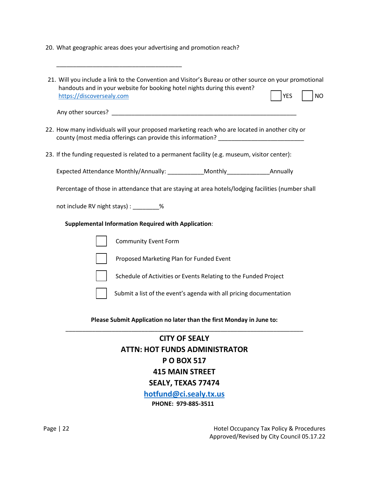20. What geographic areas does your advertising and promotion reach?

\_\_\_\_\_\_\_\_\_\_\_\_\_\_\_\_\_\_\_\_\_\_\_\_\_\_\_\_\_\_\_\_\_\_\_\_\_\_

- 21. Will you include a link to the Convention and Visitor's Bureau or other source on your promotional handouts and in your website for booking hotel nights during this event? [https://discoversealy.com](https://discoversealy.com/) YES NO Any other sources? \_\_\_\_\_\_\_\_\_\_\_\_\_\_\_\_\_\_\_\_\_\_\_\_\_\_\_\_\_\_\_\_\_\_\_\_\_\_\_\_\_\_\_\_\_\_\_\_\_\_\_\_\_\_\_\_
- 22. How many individuals will your proposed marketing reach who are located in another city or county (most media offerings can provide this information? \_\_\_\_\_\_\_\_\_\_\_\_\_\_\_\_\_\_\_\_\_\_
- 23. If the funding requested is related to a permanent facility (e.g. museum, visitor center):

Expected Attendance Monthly/Annually: \_\_\_\_\_\_\_\_\_\_\_Monthly\_\_\_\_\_\_\_\_\_\_\_\_\_\_\_\_\_\_Annually

Percentage of those in attendance that are staying at area hotels/lodging facilities (number shall

not include RV night stays) : \_\_\_\_\_\_\_\_%

#### **Supplemental Information Required with Application**:

| Community Event Form                                               |
|--------------------------------------------------------------------|
| Proposed Marketing Plan for Funded Event                           |
| Schedule of Activities or Events Relating to the Funded Project    |
| Submit a list of the event's agenda with all pricing documentation |

**Please Submit Application no later than the first Monday in June to:** \_\_\_\_\_\_\_\_\_\_\_\_\_\_\_\_\_\_\_\_\_\_\_\_\_\_\_\_\_\_\_\_\_\_\_\_\_\_\_\_\_\_\_\_\_\_\_\_\_\_\_\_\_\_\_\_\_\_\_\_\_\_\_\_\_\_\_\_\_\_\_\_

## **CITY OF SEALY ATTN: HOT FUNDS ADMINISTRATOR P O BOX 517 415 MAIN STREET SEALY, TEXAS 77474 [hotfund@ci.sealy.tx.us](mailto:hotfund@ci.sealy.tx.us)  PHONE: 979-885-3511**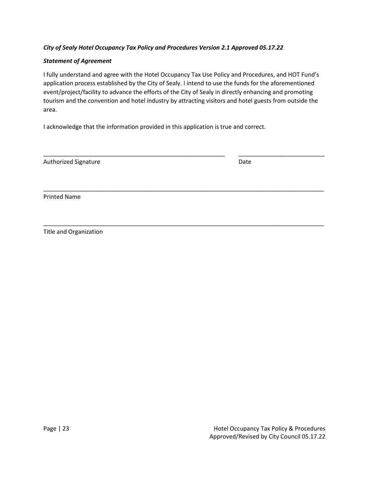#### *City of Sealy Hotel Occupancy Tax Policy and Procedures Version 2.1 Approved 05.17.22*

#### *Statement of Agreement*

I fully understand and agree with the Hotel Occupancy Tax Use Policy and Procedures, and HOT Fund's application process established by the City of Sealy. I intend to use the funds for the aforementioned event/project/facility to advance the efforts of the City of Sealy in directly enhancing and promoting tourism and the convention and hotel industry by attracting visitors and hotel guests from outside the area.

\_\_\_\_\_\_\_\_\_\_\_\_\_\_\_\_\_\_\_\_\_\_\_\_\_\_\_\_\_\_\_\_\_\_\_\_\_\_\_\_\_\_\_\_\_\_\_\_\_\_\_\_\_\_\_ \_\_\_\_\_\_\_\_\_\_\_\_\_\_\_\_\_\_\_\_\_\_\_\_\_\_

\_\_\_\_\_\_\_\_\_\_\_\_\_\_\_\_\_\_\_\_\_\_\_\_\_\_\_\_\_\_\_\_\_\_\_\_\_\_\_\_\_\_\_\_\_\_\_\_\_\_\_\_\_\_\_\_\_\_\_\_\_\_\_\_\_\_\_\_\_\_\_\_\_\_\_\_\_\_\_\_\_\_\_\_\_

\_\_\_\_\_\_\_\_\_\_\_\_\_\_\_\_\_\_\_\_\_\_\_\_\_\_\_\_\_\_\_\_\_\_\_\_\_\_\_\_\_\_\_\_\_\_\_\_\_\_\_\_\_\_\_\_\_\_\_\_\_\_\_\_\_\_\_\_\_\_\_\_\_\_\_\_\_\_\_\_\_\_\_\_\_

I acknowledge that the information provided in this application is true and correct.

| <b>Authorized Signature</b> | Date |
|-----------------------------|------|
|                             |      |

Printed Name

Title and Organization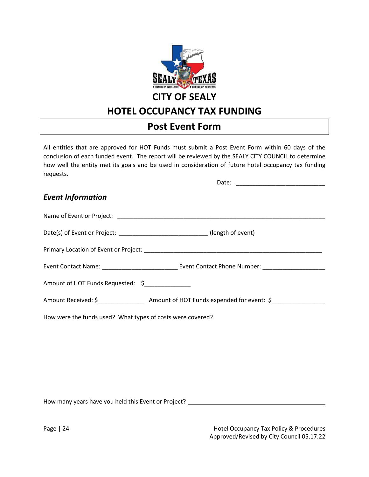

# **HOTEL OCCUPANCY TAX FUNDING**

# **Post Event Form**

<span id="page-23-0"></span>All entities that are approved for HOT Funds must submit a Post Event Form within 60 days of the conclusion of each funded event. The report will be reviewed by the SEALY CITY COUNCIL to determine how well the entity met its goals and be used in consideration of future hotel occupancy tax funding requests.

| <b>Event Information</b>                                   |                                                                               |
|------------------------------------------------------------|-------------------------------------------------------------------------------|
|                                                            |                                                                               |
|                                                            | Date(s) of Event or Project: _______________________________(length of event) |
|                                                            |                                                                               |
|                                                            |                                                                               |
| Amount of HOT Funds Requested: \$                          |                                                                               |
|                                                            |                                                                               |
| How were the funds used? What types of costs were covered? |                                                                               |

How many years have you held this Event or Project?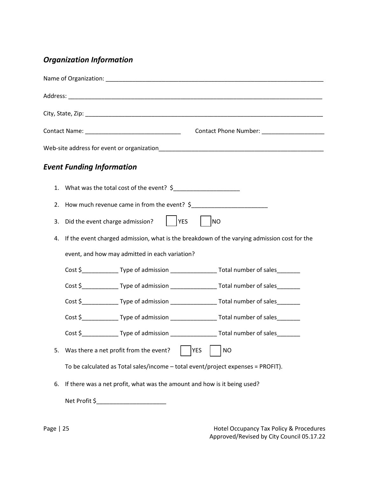# *Organization Information*

|    | <b>Event Funding Information</b>                                                            |                                                                                                      |
|----|---------------------------------------------------------------------------------------------|------------------------------------------------------------------------------------------------------|
|    | 1. What was the total cost of the event? \$                                                 |                                                                                                      |
|    | 2. How much revenue came in from the event? \$                                              |                                                                                                      |
| 3. | $ $   YES<br>Did the event charge admission?                                                | <b>NO</b>                                                                                            |
| 4. | If the event charged admission, what is the breakdown of the varying admission cost for the |                                                                                                      |
|    | event, and how may admitted in each variation?                                              |                                                                                                      |
|    |                                                                                             | Cost \$_______________Type of admission ____________________Total number of sales________            |
|    |                                                                                             | Cost \$_______________Type of admission _____________________Total number of sales_________          |
|    |                                                                                             | Cost \$_______________Type of admission ____________________Total number of sales________            |
|    |                                                                                             | Cost \$_______________Type of admission ___________________Total number of sales________             |
|    |                                                                                             | Cost \$ _______________Type of admission ________________________Total number of sales _____________ |
| 5. | Was there a net profit from the event?                                                      | <b>YES</b><br><b>NO</b>                                                                              |
|    | To be calculated as Total sales/income - total event/project expenses = PROFIT).            |                                                                                                      |
| 6. | If there was a net profit, what was the amount and how is it being used?                    |                                                                                                      |
|    | Net Profit \$                                                                               |                                                                                                      |

Page | 25 **Hotel Occupancy Tax Policy & Procedures** Approved/Revised by City Council 05.17.22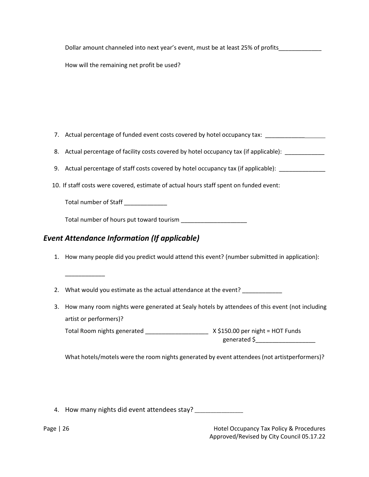Dollar amount channeled into next year's event, must be at least 25% of profits

How will the remaining net profit be used?

- 7. Actual percentage of funded event costs covered by hotel occupancy tax: \_\_\_\_\_\_\_\_\_\_\_\_\_\_\_\_\_\_\_\_\_\_\_\_\_
- 8. Actual percentage of facility costs covered by hotel occupancy tax (if applicable):
- 9. Actual percentage of staff costs covered by hotel occupancy tax (if applicable): \_\_\_\_\_\_\_\_\_\_\_\_\_\_\_
- 10. If staff costs were covered, estimate of actual hours staff spent on funded event:

Total number of Staff \_\_\_\_\_\_\_\_\_\_\_\_\_

\_\_\_\_\_\_\_\_\_\_\_\_

Total number of hours put toward tourism **with the same of the set of the set of the set of the set of the set o** 

## *Event Attendance Information (If applicable)*

- 1. How many people did you predict would attend this event? (number submitted in application):
- 2. What would you estimate as the actual attendance at the event?
- 3. How many room nights were generated at Sealy hotels by attendees of this event (not including artist or performers)?

Total Room nights generated \_\_\_\_\_\_\_\_\_\_\_\_\_\_\_\_\_\_\_ X \$150.00 per night = HOT Funds generated \$\_\_\_\_\_\_\_\_\_\_\_\_\_\_\_\_\_\_

What hotels/motels were the room nights generated by event attendees (not artistperformers)?

4. How many nights did event attendees stay? \_\_\_\_\_\_\_\_\_\_\_\_\_\_\_\_\_\_\_\_\_\_\_\_\_\_\_\_\_\_\_\_\_\_\_

Page | 26 Hotel Occupancy Tax Policy & Procedures Approved/Revised by City Council 05.17.22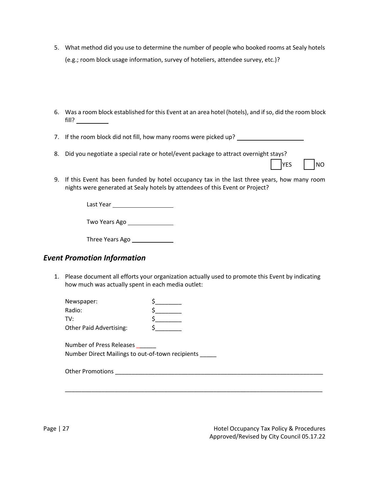- 5. What method did you use to determine the number of people who booked rooms at Sealy hotels (e.g.; room block usage information, survey of hoteliers, attendee survey, etc.)?
- 6. Was a room block established for this Event at an area hotel (hotels), and if so, did the room block fill?
- 7. If the room block did not fill, how many rooms were picked up?
- 8. Did you negotiate a special rate or hotel/event package to attract overnight stays?

| YFS | INO |
|-----|-----|

9. If this Event has been funded by hotel occupancy tax in the last three years, how many room nights were generated at Sealy hotels by attendees of this Event or Project?

Last Year

| Two Years Ago |
|---------------|
|---------------|

| Three Years Ago |
|-----------------|
|-----------------|

## *Event Promotion Information*

1. Please document all efforts your organization actually used to promote this Event by indicating how much was actually spent in each media outlet:

\_\_\_\_\_\_\_\_\_\_\_\_\_\_\_\_\_\_\_\_\_\_\_\_\_\_\_\_\_\_\_\_\_\_\_\_\_\_\_\_\_\_\_\_\_\_\_\_\_\_\_\_\_\_\_\_\_\_\_\_\_\_\_\_\_\_\_\_\_\_\_\_\_\_\_\_\_\_

| Newspaper:                     |  |
|--------------------------------|--|
| Radio:                         |  |
| TV∙                            |  |
| <b>Other Paid Advertising:</b> |  |

Number of Press Releases Number Direct Mailings to out-of-town recipients \_\_\_\_\_

| <b>Other Promotions</b> |  |
|-------------------------|--|
|                         |  |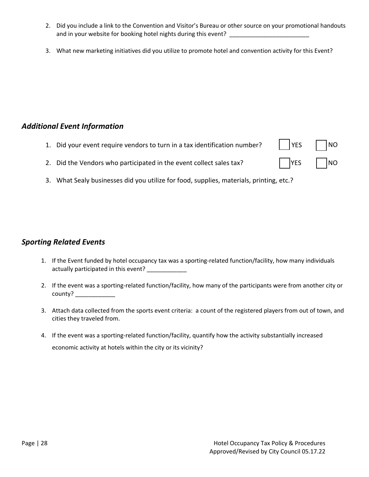- 2. Did you include a link to the Convention and Visitor's Bureau or other source on your promotional handouts and in your website for booking hotel nights during this event?
- 3. What new marketing initiatives did you utilize to promote hotel and convention activity for this Event?

### *Additional Event Information*

- 1. Did your event require vendors to turn in a tax identification number?  $\vert$  | YES | | NO
- 2. Did the Vendors who participated in the event collect sales tax? YES NO
- 3. What Sealy businesses did you utilize for food, supplies, materials, printing, etc.?

## *Sporting Related Events*

- 1. If the Event funded by hotel occupancy tax was a sporting-related function/facility, how many individuals actually participated in this event?
- 2. If the event was a sporting-related function/facility, how many of the participants were from another city or county? \_\_\_\_\_\_\_\_\_\_\_\_
- 3. Attach data collected from the sports event criteria: a count of the registered players from out of town, and cities they traveled from.
- 4. If the event was a sporting-related function/facility, quantify how the activity substantially increased economic activity at hotels within the city or its vicinity?